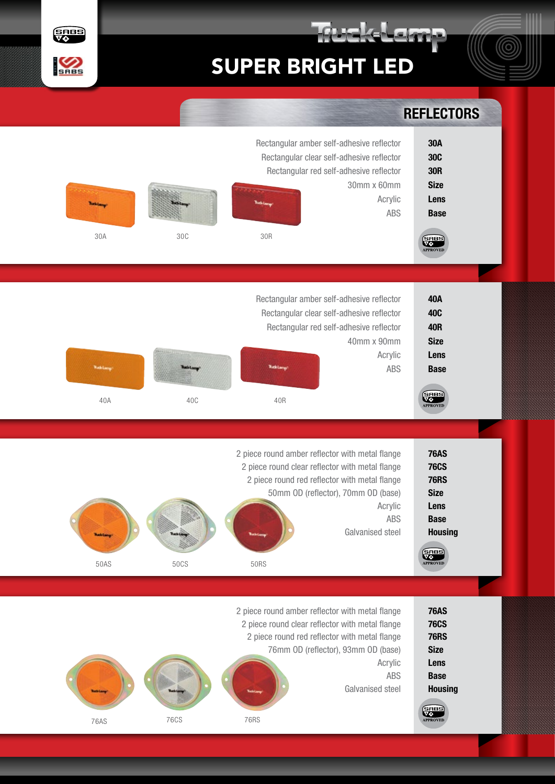



|                                                                                                                               | <b>REFLECTORS</b>                                                                                                                                                                                                                       |                                    |             |                          |  |  |
|-------------------------------------------------------------------------------------------------------------------------------|-----------------------------------------------------------------------------------------------------------------------------------------------------------------------------------------------------------------------------------------|------------------------------------|-------------|--------------------------|--|--|
| 30A<br><b>30C</b><br><b>30R</b><br><b>Size</b><br>Lens<br><b>Base</b><br><b>SHBS</b><br>APPROVED                              | Rectangular amber self-adhesive reflector<br>Rectangular clear self-adhesive reflector<br>Rectangular red self-adhesive reflector<br>30mm x 60mm<br>Acrylic<br>ABS                                                                      | 30R                                | 30C         | 30A                      |  |  |
| <b>40A</b><br><b>40C</b><br><b>40R</b><br><b>Size</b><br>Lens<br><b>Base</b><br>SHBS<br>VO<br>APPROVED                        | Rectangular amber self-adhesive reflector<br>Rectangular clear self-adhesive reflector<br>Rectangular red self-adhesive reflector<br>40mm x 90mm<br>Acrylic<br>ABS                                                                      | <b>Vuck Lamp</b><br>40R            | 40C         | <b>Rathlan</b><br>40A    |  |  |
| <b>76AS</b><br><b>76CS</b><br><b>76RS</b><br><b>Size</b><br>Lens<br><b>Base</b><br><b>Housing</b><br><b>SHBS</b><br>APPROVED  | 2 piece round amber reflector with metal flange<br>2 piece round clear reflector with metal flange<br>2 piece round red reflector with metal flange<br>50mm OD (reflector), 70mm OD (base)<br>Acrylic<br>ABS<br>Galvanised steel        | <b>Latin Carrie</b><br><b>50RS</b> | 50CS        | <b>Tuck Lang</b><br>50AS |  |  |
| <b>76AS</b><br><b>76CS</b><br><b>76RS</b><br><b>Size</b><br>Lens<br><b>Base</b><br><b>Housing</b><br><b>SERBS</b><br>APPROVED | 2 piece round amber reflector with metal flange<br>2 piece round clear reflector with metal flange<br>2 piece round red reflector with metal flange<br>76mm OD (reflector), 93mm OD (base)<br>Acrylic<br><b>ABS</b><br>Galvanised steel | <b>76RS</b>                        | <b>76CS</b> | 76AS                     |  |  |